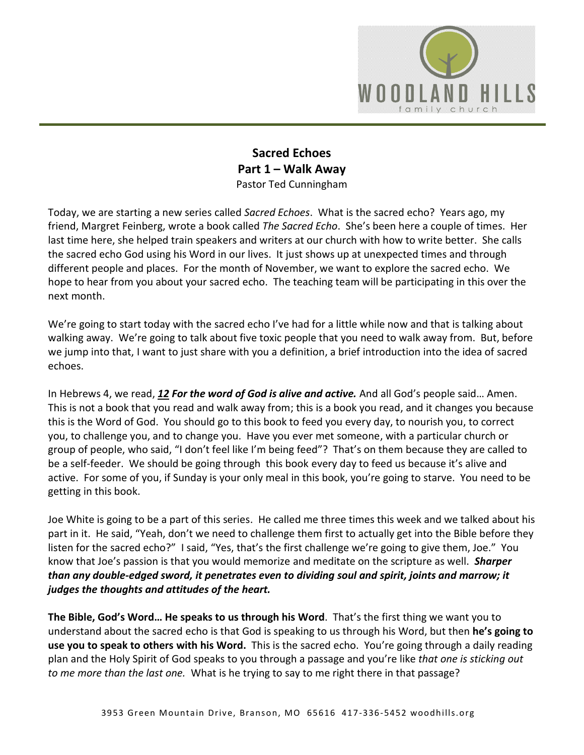

## **Sacred Echoes Part 1 – Walk Away**  Pastor Ted Cunningham

Today, we are starting a new series called *Sacred Echoes*. What is the sacred echo? Years ago, my friend, Margret Feinberg, wrote a book called *The Sacred Echo*. She's been here a couple of times. Her last time here, she helped train speakers and writers at our church with how to write better. She calls the sacred echo God using his Word in our lives. It just shows up at unexpected times and through different people and places. For the month of November, we want to explore the sacred echo. We hope to hear from you about your sacred echo. The teaching team will be participating in this over the next month.

We're going to start today with the sacred echo I've had for a little while now and that is talking about walking away. We're going to talk about five toxic people that you need to walk away from. But, before we jump into that, I want to just share with you a definition, a brief introduction into the idea of sacred echoes.

In Hebrews 4, we read, *[12](https://www.studylight.org/desk/?q=heb%204:12&t1=en_niv&sr=1) For the word of God is alive and active.* And all God's people said… Amen. This is not a book that you read and walk away from; this is a book you read, and it changes you because this is the Word of God. You should go to this book to feed you every day, to nourish you, to correct you, to challenge you, and to change you. Have you ever met someone, with a particular church or group of people, who said, "I don't feel like I'm being feed"? That's on them because they are called to be a self-feeder. We should be going through this book every day to feed us because it's alive and active. For some of you, if Sunday is your only meal in this book, you're going to starve. You need to be getting in this book.

Joe White is going to be a part of this series. He called me three times this week and we talked about his part in it. He said, "Yeah, don't we need to challenge them first to actually get into the Bible before they listen for the sacred echo?" I said, "Yes, that's the first challenge we're going to give them, Joe." You know that Joe's passion is that you would memorize and meditate on the scripture as well. *Sharper than any double-edged sword, it penetrates even to dividing soul and spirit, joints and marrow; it judges the thoughts and attitudes of the heart.*

**The Bible, God's Word… He speaks to us through his Word**. That's the first thing we want you to understand about the sacred echo is that God is speaking to us through his Word, but then **he's going to use you to speak to others with his Word.** This is the sacred echo. You're going through a daily reading plan and the Holy Spirit of God speaks to you through a passage and you're like *that one is sticking out to me more than the last one.* What is he trying to say to me right there in that passage?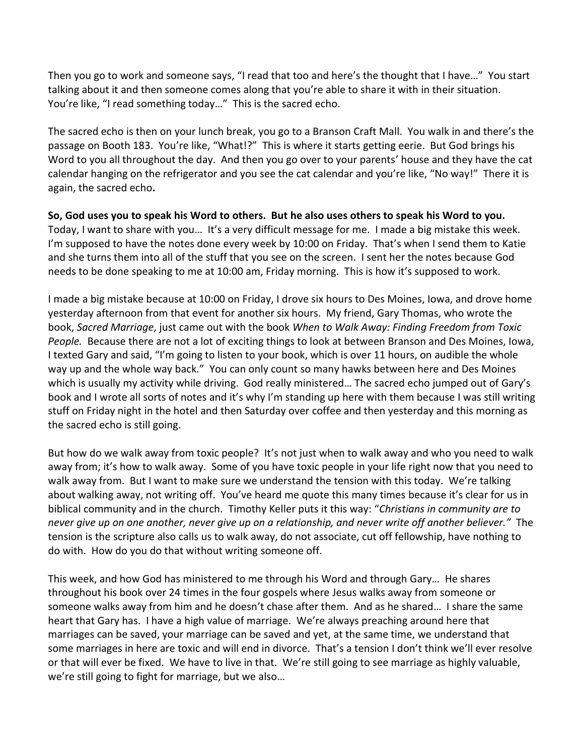Then you go to work and someone says, "I read that too and here's the thought that I have…" You start talking about it and then someone comes along that you're able to share it with in their situation. You're like, "I read something today…" This is the sacred echo.

The sacred echo is then on your lunch break, you go to a Branson Craft Mall. You walk in and there's the passage on Booth 183. You're like, "What!?" This is where it starts getting eerie. But God brings his Word to you all throughout the day. And then you go over to your parents' house and they have the cat calendar hanging on the refrigerator and you see the cat calendar and you're like, "No way!" There it is again, the sacred echo**.** 

**So, God uses you to speak his Word to others. But he also uses others to speak his Word to you.** Today, I want to share with you… It's a very difficult message for me. I made a big mistake this week. I'm supposed to have the notes done every week by 10:00 on Friday. That's when I send them to Katie and she turns them into all of the stuff that you see on the screen. I sent her the notes because God needs to be done speaking to me at 10:00 am, Friday morning. This is how it's supposed to work.

I made a big mistake because at 10:00 on Friday, I drove six hours to Des Moines, Iowa, and drove home yesterday afternoon from that event for another six hours. My friend, Gary Thomas, who wrote the book, *Sacred Marriage*, just came out with the book *When to Walk Away: Finding Freedom from Toxic People.* Because there are not a lot of exciting things to look at between Branson and Des Moines, Iowa, I texted Gary and said, "I'm going to listen to your book, which is over 11 hours, on audible the whole way up and the whole way back." You can only count so many hawks between here and Des Moines which is usually my activity while driving. God really ministered… The sacred echo jumped out of Gary's book and I wrote all sorts of notes and it's why I'm standing up here with them because I was still writing stuff on Friday night in the hotel and then Saturday over coffee and then yesterday and this morning as the sacred echo is still going.

But how do we walk away from toxic people? It's not just when to walk away and who you need to walk away from; it's how to walk away. Some of you have toxic people in your life right now that you need to walk away from. But I want to make sure we understand the tension with this today. We're talking about walking away, not writing off. You've heard me quote this many times because it's clear for us in biblical community and in the church. Timothy Keller puts it this way: "*Christians in community are to never give up on one another, never give up on a relationship, and never write off another believer."* The tension is the scripture also calls us to walk away, do not associate, cut off fellowship, have nothing to do with. How do you do that without writing someone off.

This week, and how God has ministered to me through his Word and through Gary… He shares throughout his book over 24 times in the four gospels where Jesus walks away from someone or someone walks away from him and he doesn't chase after them. And as he shared… I share the same heart that Gary has. I have a high value of marriage. We're always preaching around here that marriages can be saved, your marriage can be saved and yet, at the same time, we understand that some marriages in here are toxic and will end in divorce. That's a tension I don't think we'll ever resolve or that will ever be fixed. We have to live in that. We're still going to see marriage as highly valuable, we're still going to fight for marriage, but we also…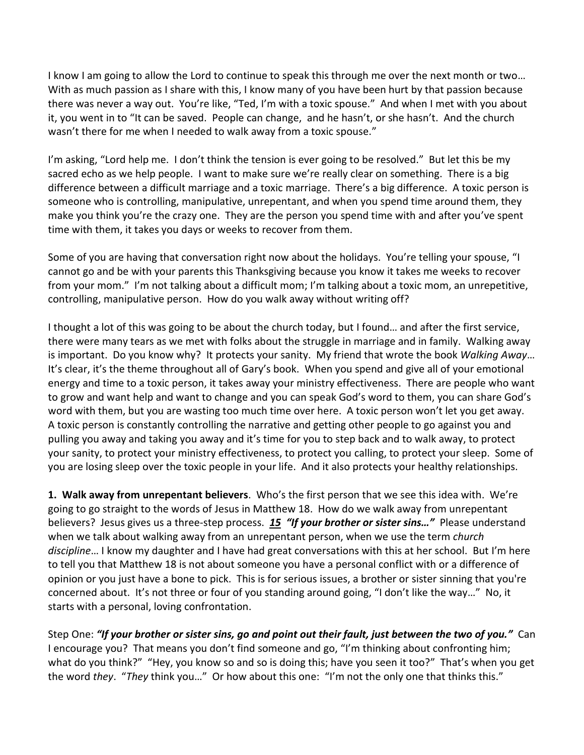I know I am going to allow the Lord to continue to speak this through me over the next month or two… With as much passion as I share with this, I know many of you have been hurt by that passion because there was never a way out. You're like, "Ted, I'm with a toxic spouse." And when I met with you about it, you went in to "It can be saved. People can change, and he hasn't, or she hasn't. And the church wasn't there for me when I needed to walk away from a toxic spouse."

I'm asking, "Lord help me. I don't think the tension is ever going to be resolved." But let this be my sacred echo as we help people. I want to make sure we're really clear on something. There is a big difference between a difficult marriage and a toxic marriage. There's a big difference. A toxic person is someone who is controlling, manipulative, unrepentant, and when you spend time around them, they make you think you're the crazy one. They are the person you spend time with and after you've spent time with them, it takes you days or weeks to recover from them.

Some of you are having that conversation right now about the holidays. You're telling your spouse, "I cannot go and be with your parents this Thanksgiving because you know it takes me weeks to recover from your mom." I'm not talking about a difficult mom; I'm talking about a toxic mom, an unrepetitive, controlling, manipulative person. How do you walk away without writing off?

I thought a lot of this was going to be about the church today, but I found… and after the first service, there were many tears as we met with folks about the struggle in marriage and in family. Walking away is important. Do you know why? It protects your sanity. My friend that wrote the book *Walking Away*… It's clear, it's the theme throughout all of Gary's book. When you spend and give all of your emotional energy and time to a toxic person, it takes away your ministry effectiveness. There are people who want to grow and want help and want to change and you can speak God's word to them, you can share God's word with them, but you are wasting too much time over here. A toxic person won't let you get away. A toxic person is constantly controlling the narrative and getting other people to go against you and pulling you away and taking you away and it's time for you to step back and to walk away, to protect your sanity, to protect your ministry effectiveness, to protect you calling, to protect your sleep. Some of you are losing sleep over the toxic people in your life. And it also protects your healthy relationships.

**1. Walk away from unrepentant believers**. Who's the first person that we see this idea with. We're going to go straight to the words of Jesus in Matthew 18. How do we walk away from unrepentant believers? Jesus gives us a three-step process. *[15](https://www.studylight.org/desk/?q=mt%2018:15&t1=en_niv&sr=1) "If your brother or sister sins…"* Please understand when we talk about walking away from an unrepentant person, when we use the term *church discipline*… I know my daughter and I have had great conversations with this at her school. But I'm here to tell you that Matthew 18 is not about someone you have a personal conflict with or a difference of opinion or you just have a bone to pick. This is for serious issues, a brother or sister sinning that you're concerned about. It's not three or four of you standing around going, "I don't like the way…" No, it starts with a personal, loving confrontation.

Step One: *"If your brother or sister sins, go and point out their fault, just between the two of you."* Can I encourage you? That means you don't find someone and go, "I'm thinking about confronting him; what do you think?" "Hey, you know so and so is doing this; have you seen it too?" That's when you get the word *they*. "*They* think you…" Or how about this one: "I'm not the only one that thinks this."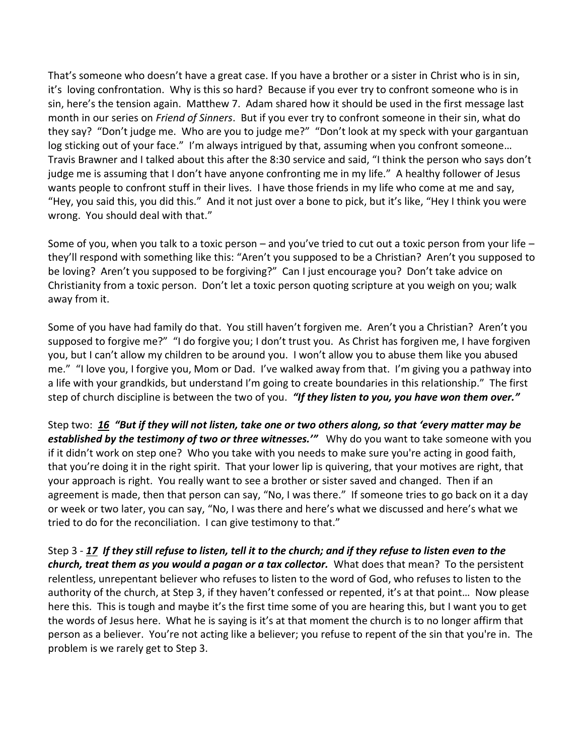That's someone who doesn't have a great case. If you have a brother or a sister in Christ who is in sin, it's loving confrontation. Why is this so hard? Because if you ever try to confront someone who is in sin, here's the tension again. Matthew 7. Adam shared how it should be used in the first message last month in our series on *Friend of Sinners*. But if you ever try to confront someone in their sin, what do they say? "Don't judge me. Who are you to judge me?" "Don't look at my speck with your gargantuan log sticking out of your face." I'm always intrigued by that, assuming when you confront someone... Travis Brawner and I talked about this after the 8:30 service and said, "I think the person who says don't judge me is assuming that I don't have anyone confronting me in my life." A healthy follower of Jesus wants people to confront stuff in their lives. I have those friends in my life who come at me and say, "Hey, you said this, you did this." And it not just over a bone to pick, but it's like, "Hey I think you were wrong. You should deal with that."

Some of you, when you talk to a toxic person – and you've tried to cut out a toxic person from your life – they'll respond with something like this: "Aren't you supposed to be a Christian? Aren't you supposed to be loving? Aren't you supposed to be forgiving?" Can I just encourage you? Don't take advice on Christianity from a toxic person. Don't let a toxic person quoting scripture at you weigh on you; walk away from it.

Some of you have had family do that. You still haven't forgiven me. Aren't you a Christian? Aren't you supposed to forgive me?" "I do forgive you; I don't trust you. As Christ has forgiven me, I have forgiven you, but I can't allow my children to be around you. I won't allow you to abuse them like you abused me." "I love you, I forgive you, Mom or Dad. I've walked away from that. I'm giving you a pathway into a life with your grandkids, but understand I'm going to create boundaries in this relationship." The first step of church discipline is between the two of you. *"If they listen to you, you have won them over."*

Step two: *[16](https://www.studylight.org/desk/?q=mt%2018:16&t1=en_niv&sr=1) "But if they will not listen, take one or two others along, so that 'every matter may be established by the testimony of two or three witnesses.'"* Why do you want to take someone with you if it didn't work on step one? Who you take with you needs to make sure you're acting in good faith, that you're doing it in the right spirit. That your lower lip is quivering, that your motives are right, that your approach is right. You really want to see a brother or sister saved and changed. Then if an agreement is made, then that person can say, "No, I was there." If someone tries to go back on it a day or week or two later, you can say, "No, I was there and here's what we discussed and here's what we tried to do for the reconciliation. I can give testimony to that."

Step 3 - *[17](https://www.studylight.org/desk/?q=mt%2018:17&t1=en_niv&sr=1) If they still refuse to listen, tell it to the church; and if they refuse to listen even to the church, treat them as you would a pagan or a tax collector.* What does that mean? To the persistent relentless, unrepentant believer who refuses to listen to the word of God, who refuses to listen to the authority of the church, at Step 3, if they haven't confessed or repented, it's at that point… Now please here this. This is tough and maybe it's the first time some of you are hearing this, but I want you to get the words of Jesus here. What he is saying is it's at that moment the church is to no longer affirm that person as a believer. You're not acting like a believer; you refuse to repent of the sin that you're in. The problem is we rarely get to Step 3.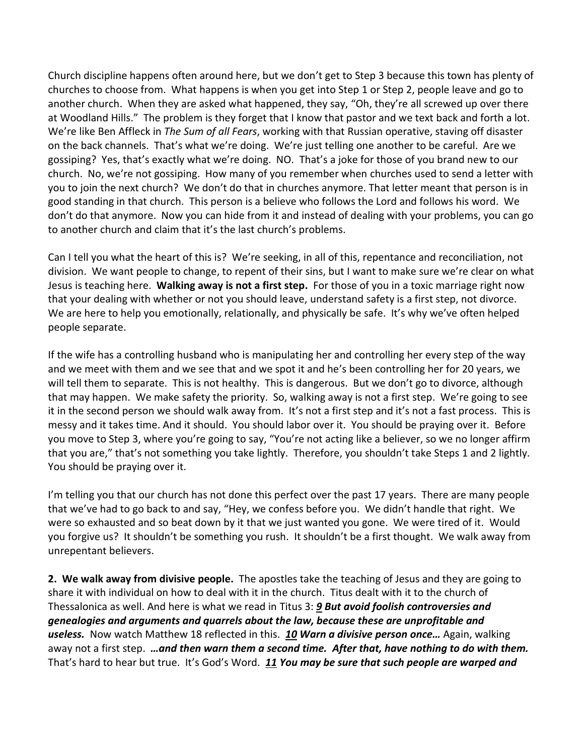Church discipline happens often around here, but we don't get to Step 3 because this town has plenty of churches to choose from. What happens is when you get into Step 1 or Step 2, people leave and go to another church. When they are asked what happened, they say, "Oh, they're all screwed up over there at Woodland Hills." The problem is they forget that I know that pastor and we text back and forth a lot. We're like Ben Affleck in *The Sum of all Fears*, working with that Russian operative, staving off disaster on the back channels. That's what we're doing. We're just telling one another to be careful. Are we gossiping? Yes, that's exactly what we're doing. NO. That's a joke for those of you brand new to our church. No, we're not gossiping. How many of you remember when churches used to send a letter with you to join the next church? We don't do that in churches anymore. That letter meant that person is in good standing in that church. This person is a believe who follows the Lord and follows his word. We don't do that anymore. Now you can hide from it and instead of dealing with your problems, you can go to another church and claim that it's the last church's problems.

Can I tell you what the heart of this is? We're seeking, in all of this, repentance and reconciliation, not division. We want people to change, to repent of their sins, but I want to make sure we're clear on what Jesus is teaching here. **Walking away is not a first step.** For those of you in a toxic marriage right now that your dealing with whether or not you should leave, understand safety is a first step, not divorce. We are here to help you emotionally, relationally, and physically be safe. It's why we've often helped people separate.

If the wife has a controlling husband who is manipulating her and controlling her every step of the way and we meet with them and we see that and we spot it and he's been controlling her for 20 years, we will tell them to separate. This is not healthy. This is dangerous. But we don't go to divorce, although that may happen. We make safety the priority. So, walking away is not a first step. We're going to see it in the second person we should walk away from. It's not a first step and it's not a fast process. This is messy and it takes time. And it should. You should labor over it. You should be praying over it. Before you move to Step 3, where you're going to say, "You're not acting like a believer, so we no longer affirm that you are," that's not something you take lightly. Therefore, you shouldn't take Steps 1 and 2 lightly. You should be praying over it.

I'm telling you that our church has not done this perfect over the past 17 years. There are many people that we've had to go back to and say, "Hey, we confess before you. We didn't handle that right. We were so exhausted and so beat down by it that we just wanted you gone. We were tired of it. Would you forgive us? It shouldn't be something you rush. It shouldn't be a first thought. We walk away from unrepentant believers.

**2. We walk away from divisive people.** The apostles take the teaching of Jesus and they are going to share it with individual on how to deal with it in the church. Titus dealt with it to the church of Thessalonica as well. And here is what we read in Titus 3: *[9](https://www.studylight.org/desk/?q=tit%203:9&t1=en_niv&sr=1) But avoid foolish controversies and genealogies and arguments and quarrels about the law, because these are unprofitable and useless.* Now watch Matthew 18 reflected in this. *[10](https://www.studylight.org/desk/?q=tit%203:10&t1=en_niv&sr=1) Warn a divisive person once…* Again, walking away not a first step. *…and then warn them a second time. After that, have nothing to do with them.* That's hard to hear but true. It's God's Word. *[11](https://www.studylight.org/desk/?q=tit%203:11&t1=en_niv&sr=1) You may be sure that such people are warped and*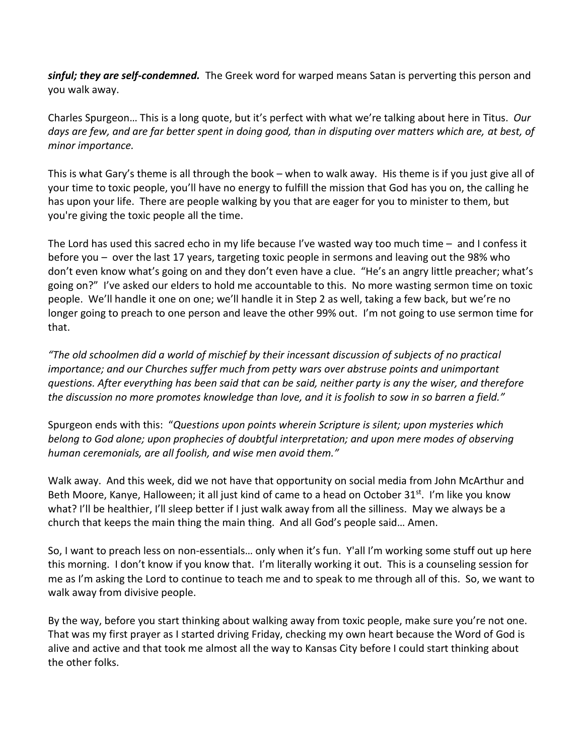*sinful; they are self-condemned.* The Greek word for warped means Satan is perverting this person and you walk away.

Charles Spurgeon… This is a long quote, but it's perfect with what we're talking about here in Titus. *Our days are few, and are far better spent in doing good, than in disputing over matters which are, at best, of minor importance.* 

This is what Gary's theme is all through the book – when to walk away. His theme is if you just give all of your time to toxic people, you'll have no energy to fulfill the mission that God has you on, the calling he has upon your life. There are people walking by you that are eager for you to minister to them, but you're giving the toxic people all the time.

The Lord has used this sacred echo in my life because I've wasted way too much time – and I confess it before you – over the last 17 years, targeting toxic people in sermons and leaving out the 98% who don't even know what's going on and they don't even have a clue. "He's an angry little preacher; what's going on?" I've asked our elders to hold me accountable to this. No more wasting sermon time on toxic people. We'll handle it one on one; we'll handle it in Step 2 as well, taking a few back, but we're no longer going to preach to one person and leave the other 99% out. I'm not going to use sermon time for that.

*"The old schoolmen did a world of mischief by their incessant discussion of subjects of no practical importance; and our Churches suffer much from petty wars over abstruse points and unimportant questions. After everything has been said that can be said, neither party is any the wiser, and therefore the discussion no more promotes knowledge than love, and it is foolish to sow in so barren a field."*

Spurgeon ends with this: "*Questions upon points wherein Scripture is silent; upon mysteries which belong to God alone; upon prophecies of doubtful interpretation; and upon mere modes of observing human ceremonials, are all foolish, and wise men avoid them."*

Walk away. And this week, did we not have that opportunity on social media from John McArthur and Beth Moore, Kanye, Halloween; it all just kind of came to a head on October 31<sup>st</sup>. I'm like you know what? I'll be healthier, I'll sleep better if I just walk away from all the silliness. May we always be a church that keeps the main thing the main thing. And all God's people said… Amen.

So, I want to preach less on non-essentials… only when it's fun. Y'all I'm working some stuff out up here this morning. I don't know if you know that. I'm literally working it out. This is a counseling session for me as I'm asking the Lord to continue to teach me and to speak to me through all of this. So, we want to walk away from divisive people.

By the way, before you start thinking about walking away from toxic people, make sure you're not one. That was my first prayer as I started driving Friday, checking my own heart because the Word of God is alive and active and that took me almost all the way to Kansas City before I could start thinking about the other folks.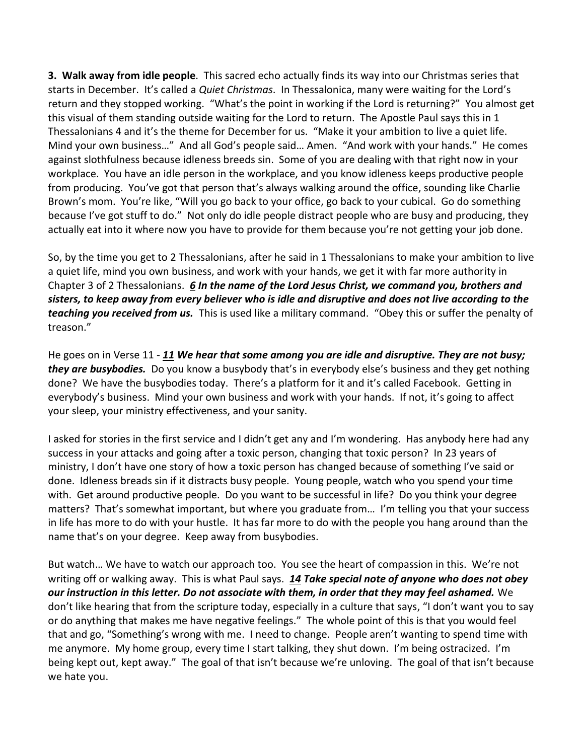**3. Walk away from idle people**. This sacred echo actually finds its way into our Christmas series that starts in December. It's called a *Quiet Christmas*. In Thessalonica, many were waiting for the Lord's return and they stopped working. "What's the point in working if the Lord is returning?" You almost get this visual of them standing outside waiting for the Lord to return. The Apostle Paul says this in 1 Thessalonians 4 and it's the theme for December for us. "Make it your ambition to live a quiet life. Mind your own business…" And all God's people said… Amen. "And work with your hands." He comes against slothfulness because idleness breeds sin. Some of you are dealing with that right now in your workplace. You have an idle person in the workplace, and you know idleness keeps productive people from producing. You've got that person that's always walking around the office, sounding like Charlie Brown's mom. You're like, "Will you go back to your office, go back to your cubical. Go do something because I've got stuff to do." Not only do idle people distract people who are busy and producing, they actually eat into it where now you have to provide for them because you're not getting your job done.

So, by the time you get to 2 Thessalonians, after he said in 1 Thessalonians to make your ambition to live a quiet life, mind you own business, and work with your hands, we get it with far more authority in Chapter 3 of 2 Thessalonians. *[6](https://www.studylight.org/desk/?q=2th%203:6&t1=en_niv&sr=1) In the name of the Lord Jesus Christ, we command you, brothers and sisters, to keep away from every believer who is idle and disruptive and does not live according to the teaching you received from us.* This is used like a military command. "Obey this or suffer the penalty of treason."

He goes on in Verse 11 - *[11](https://www.studylight.org/desk/?q=2th%203:11&t1=en_niv&sr=1) We hear that some among you are idle and disruptive. They are not busy; they are busybodies.* Do you know a busybody that's in everybody else's business and they get nothing done? We have the busybodies today. There's a platform for it and it's called Facebook. Getting in everybody's business. Mind your own business and work with your hands. If not, it's going to affect your sleep, your ministry effectiveness, and your sanity.

I asked for stories in the first service and I didn't get any and I'm wondering. Has anybody here had any success in your attacks and going after a toxic person, changing that toxic person? In 23 years of ministry, I don't have one story of how a toxic person has changed because of something I've said or done. Idleness breads sin if it distracts busy people. Young people, watch who you spend your time with. Get around productive people. Do you want to be successful in life? Do you think your degree matters? That's somewhat important, but where you graduate from… I'm telling you that your success in life has more to do with your hustle. It has far more to do with the people you hang around than the name that's on your degree. Keep away from busybodies.

But watch… We have to watch our approach too. You see the heart of compassion in this. We're not writing off or walking away. This is what Paul says. *[14](https://www.studylight.org/desk/?q=2th%203:14&t1=en_niv&sr=1) Take special note of anyone who does not obey our instruction in this letter. Do not associate with them, in order that they may feel ashamed.* We don't like hearing that from the scripture today, especially in a culture that says, "I don't want you to say or do anything that makes me have negative feelings." The whole point of this is that you would feel that and go, "Something's wrong with me. I need to change. People aren't wanting to spend time with me anymore. My home group, every time I start talking, they shut down. I'm being ostracized. I'm being kept out, kept away." The goal of that isn't because we're unloving. The goal of that isn't because we hate you.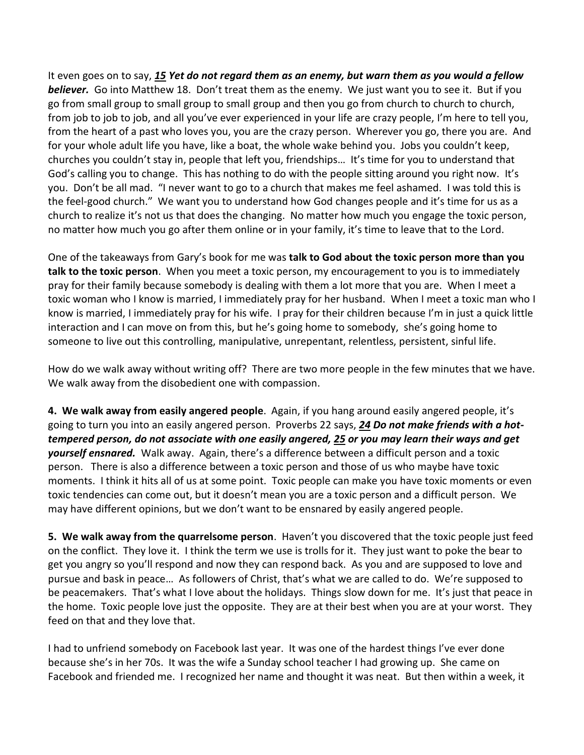It even goes on to say, *[15](https://www.studylight.org/desk/?q=2th%203:15&t1=en_niv&sr=1) Yet do not regard them as an enemy, but warn them as you would a fellow believer.* Go into Matthew 18. Don't treat them as the enemy. We just want you to see it. But if you go from small group to small group to small group and then you go from church to church to church, from job to job to job, and all you've ever experienced in your life are crazy people, I'm here to tell you, from the heart of a past who loves you, you are the crazy person. Wherever you go, there you are. And for your whole adult life you have, like a boat, the whole wake behind you. Jobs you couldn't keep, churches you couldn't stay in, people that left you, friendships… It's time for you to understand that God's calling you to change. This has nothing to do with the people sitting around you right now. It's you. Don't be all mad. "I never want to go to a church that makes me feel ashamed. I was told this is the feel-good church." We want you to understand how God changes people and it's time for us as a church to realize it's not us that does the changing. No matter how much you engage the toxic person, no matter how much you go after them online or in your family, it's time to leave that to the Lord.

One of the takeaways from Gary's book for me was **talk to God about the toxic person more than you talk to the toxic person**. When you meet a toxic person, my encouragement to you is to immediately pray for their family because somebody is dealing with them a lot more that you are. When I meet a toxic woman who I know is married, I immediately pray for her husband. When I meet a toxic man who I know is married, I immediately pray for his wife. I pray for their children because I'm in just a quick little interaction and I can move on from this, but he's going home to somebody, she's going home to someone to live out this controlling, manipulative, unrepentant, relentless, persistent, sinful life.

How do we walk away without writing off? There are two more people in the few minutes that we have. We walk away from the disobedient one with compassion.

**4. We walk away from easily angered people**. Again, if you hang around easily angered people, it's going to turn you into an easily angered person. Proverbs 22 says, *[24](https://www.studylight.org/desk/?q=pr%2022:24&t1=en_niv&sr=1) Do not make friends with a hottempered person, do not associate with one easily angered, [25](https://www.studylight.org/desk/?q=pr%2022:25&t1=en_niv&sr=1) or you may learn their ways and get yourself ensnared.* Walk away. Again, there's a difference between a difficult person and a toxic person. There is also a difference between a toxic person and those of us who maybe have toxic moments. I think it hits all of us at some point. Toxic people can make you have toxic moments or even toxic tendencies can come out, but it doesn't mean you are a toxic person and a difficult person. We may have different opinions, but we don't want to be ensnared by easily angered people.

**5. We walk away from the quarrelsome person**. Haven't you discovered that the toxic people just feed on the conflict. They love it. I think the term we use is trolls for it. They just want to poke the bear to get you angry so you'll respond and now they can respond back. As you and are supposed to love and pursue and bask in peace… As followers of Christ, that's what we are called to do. We're supposed to be peacemakers. That's what I love about the holidays. Things slow down for me. It's just that peace in the home. Toxic people love just the opposite. They are at their best when you are at your worst. They feed on that and they love that.

I had to unfriend somebody on Facebook last year. It was one of the hardest things I've ever done because she's in her 70s. It was the wife a Sunday school teacher I had growing up. She came on Facebook and friended me. I recognized her name and thought it was neat. But then within a week, it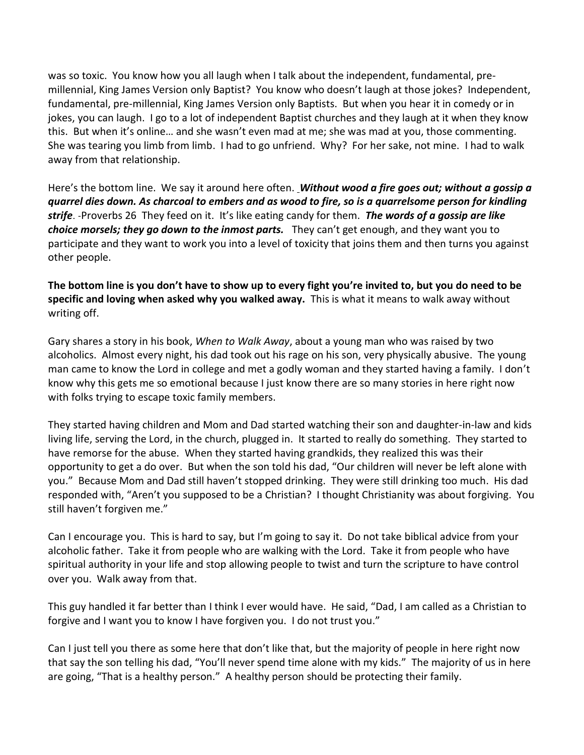was so toxic. You know how you all laugh when I talk about the independent, fundamental, premillennial, King James Version only Baptist? You know who doesn't laugh at those jokes? Independent, fundamental, pre-millennial, King James Version only Baptists. But when you hear it in comedy or in jokes, you can laugh. I go to a lot of independent Baptist churches and they laugh at it when they know this. But when it's online… and she wasn't even mad at me; she was mad at you, those commenting. She was tearing you limb from limb. I had to go unfriend. Why? For her sake, not mine. I had to walk away from that relationship.

Here's the bottom line. We say it around here often. *Without wood a fire goes out; without a gossip a quarrel dies down. As charcoal to embers and as wood to fire, so is a quarrelsome person for kindling strife*. -Proverbs 26 They feed on it. It's like eating candy for them. *The words of a gossip are like choice morsels; they go down to the inmost parts.* They can't get enough, and they want you to participate and they want to work you into a level of toxicity that joins them and then turns you against other people.

**The bottom line is you don't have to show up to every fight you're invited to, but you do need to be specific and loving when asked why you walked away.** This is what it means to walk away without writing off.

Gary shares a story in his book, *When to Walk Away*, about a young man who was raised by two alcoholics. Almost every night, his dad took out his rage on his son, very physically abusive. The young man came to know the Lord in college and met a godly woman and they started having a family. I don't know why this gets me so emotional because I just know there are so many stories in here right now with folks trying to escape toxic family members.

They started having children and Mom and Dad started watching their son and daughter-in-law and kids living life, serving the Lord, in the church, plugged in. It started to really do something. They started to have remorse for the abuse. When they started having grandkids, they realized this was their opportunity to get a do over. But when the son told his dad, "Our children will never be left alone with you." Because Mom and Dad still haven't stopped drinking. They were still drinking too much. His dad responded with, "Aren't you supposed to be a Christian? I thought Christianity was about forgiving. You still haven't forgiven me."

Can I encourage you. This is hard to say, but I'm going to say it. Do not take biblical advice from your alcoholic father. Take it from people who are walking with the Lord. Take it from people who have spiritual authority in your life and stop allowing people to twist and turn the scripture to have control over you. Walk away from that.

This guy handled it far better than I think I ever would have. He said, "Dad, I am called as a Christian to forgive and I want you to know I have forgiven you. I do not trust you."

Can I just tell you there as some here that don't like that, but the majority of people in here right now that say the son telling his dad, "You'll never spend time alone with my kids." The majority of us in here are going, "That is a healthy person." A healthy person should be protecting their family.